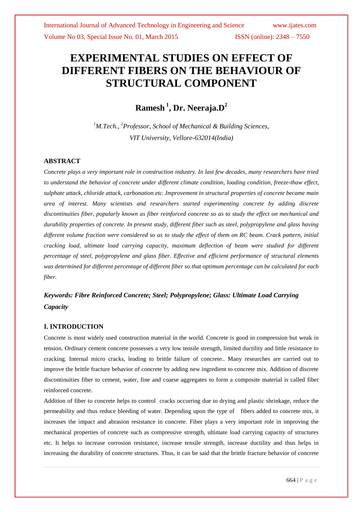# **EXPERIMENTAL STUDIES ON EFFECT OF DIFFERENT FIBERS ON THE BEHAVIOUR OF STRUCTURAL COMPONENT**

**Ramesh <sup>1</sup> , Dr. Neeraja.D<sup>2</sup>**

*<sup>1</sup>M.Tech., <sup>2</sup>Professor, School of Mechanical & Building Sciences, VIT University, Vellore-632014(India)*

#### **ABSTRACT**

*Concrete plays a very important role in construction industry. In last few decades, many researchers have tried to understand the behavior of concrete under different climate condition, loading condition, freeze-thaw effect, sulphate attack, chloride attack, carbonation etc. Improvement in structural properties of concrete became main area of interest. Many scientists and researchers started experimenting concrete by adding discrete discontinuities fiber, popularly known as fiber reinforced concrete so as to study the effect on mechanical and durability properties of concrete. In present study, different fiber such as steel, polypropylene and glass having different volume fraction were considered so as to study the effect of them on RC beam. Crack pattern, initial cracking load, ultimate load carrying capacity, maximum deflection of beam were studied for different percentage of steel, polypropylene and glass fiber. Effective and efficient performance of structural elements was determined for different percentage of different fiber so that optimum percentage can be calculated for each fiber.*

## *Keywords: Fibre Reinforced Concrete; Steel; Polypropylene; Glass: Ultimate Load Carrying Capacity*

#### **I. INTRODUCTION**

Concrete is most widely used construction material in the world. Concrete is good in compression but weak in tension. Ordinary cement concrete possesses a very low tensile strength, limited ductility and little resistance to cracking. Internal micro cracks, leading to brittle failure of concrete.. Many researches are carried out to improve the brittle fracture behavior of concrete by adding new ingredient to concrete mix. Addition of discrete discontinuities fiber to cement, water, fine and coarse aggregates to form a composite material is called fiber reinforced concrete.

Addition of fiber to concrete helps to control cracks occurring due to drying and plastic shrinkage, reduce the permeability and thus reduce bleeding of water. Depending upon the type of fibers added to concrete mix, it increases the impact and abrasion resistance in concrete. Fiber plays a very important role in improving the mechanical properties of concrete such as compressive strength, ultimate load carrying capacity of structures etc. It helps to increase corrosion resistance, increase tensile strength, increase ductility and thus helps in increasing the durability of concrete structures. Thus, it can be said that the brittle fracture behavior of concrete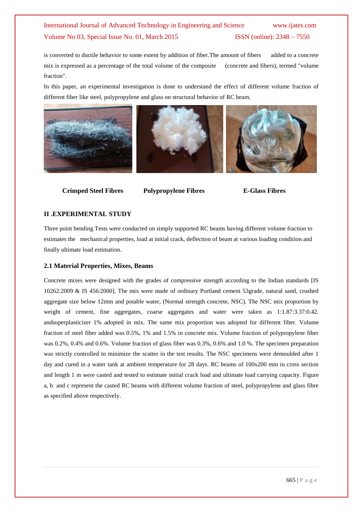is converted to ductile behavior to some extent by addition of fiber.The amount of fibers added to a concrete mix is expressed as a percentage of the total volume of the composite (concrete and fibers), termed "volume fraction".

In this paper, an experimental investigation is done to understand the effect of different volume fraction of different fiber like steel, polypropylene and glass on structural behavior of RC beam.





 **Crimped Steel Fibres Polypropylene Fibres E-Glass Fibres**

#### **II .EXPERIMENTAL STUDY**

Three point bending Tests were conducted on simply supported RC beams having different volume fraction to estimates the mechanical properties, load at initial crack, deflection of beam at various loading condition and finally ultimate load estimation.

#### **2.1 Material Properties, Mixes, Beams**

Concrete mixes were designed with the grades of compressive strength according to the Indian standards [IS 10262:2009 & IS 456:2000]. The mix were made of ordinary Portland cement 53grade, natural sand, crushed aggregate size below 12mm and potable water, (Normal strength concrete, NSC). The NSC mix proportion by weight of cement, fine aggregates, coarse aggregates and water were taken as 1:1.87:3.37:0.42. andsuperplasticizer 1% adopted in mix. The same mix proportion was adopted for different fiber. Volume fraction of steel fiber added was 0.5%, 1% and 1.5% in concrete mix. Volume fraction of polypropylene fiber was 0.2%, 0.4% and 0.6%. Volume fraction of glass fiber was 0.3%, 0.6% and 1.0 %. The specimen preparation was strictly controlled to minimize the scatter in the test results. The NSC specimens were demoulded after 1 day and cured in a water tank at ambient temperature for 28 days. RC beams of 100x200 mm in cross section and length 1 m were casted and tested to estimate initial crack load and ultimate load carrying capacity. Figure a, b and c represent the casted RC beams with different volume fraction of steel, polypropylene and glass fibre as specified above respectively.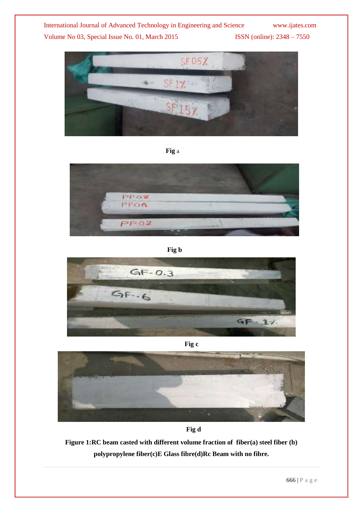

**Fig** a



 **Fig b**





 **Fig d**

**Figure 1:RC beam casted with different volume fraction of fiber(a) steel fiber (b) polypropylene fiber(c)E Glass fibre(d)Rc Beam with no fibre.**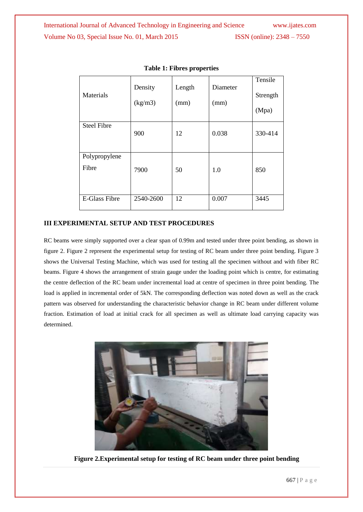| Materials              | Density<br>(kg/m3) | Length<br>(mm) | Diameter<br>(mm) | Tensile<br>Strength<br>(Mpa) |
|------------------------|--------------------|----------------|------------------|------------------------------|
| <b>Steel Fibre</b>     | 900                | 12             | 0.038            | 330-414                      |
| Polypropylene<br>Fibre | 7900               | 50             | 1.0              | 850                          |
| <b>E-Glass Fibre</b>   | 2540-2600          | 12             | 0.007            | 3445                         |

#### **Table 1: Fibres properties**

#### **III EXPERIMENTAL SETUP AND TEST PROCEDURES**

RC beams were simply supported over a clear span of 0.99m and tested under three point bending, as shown in figure 2. Figure 2 represent the experimental setup for testing of RC beam under three point bending. Figure 3 shows the Universal Testing Machine, which was used for testing all the specimen without and with fiber RC beams. Figure 4 shows the arrangement of strain gauge under the loading point which is centre, for estimating the centre deflection of the RC beam under incremental load at centre of specimen in three point bending. The load is applied in incremental order of 5kN. The corresponding deflection was noted down as well as the crack pattern was observed for understanding the characteristic behavior change in RC beam under different volume fraction. Estimation of load at initial crack for all specimen as well as ultimate load carrying capacity was determined.



**Figure 2.Experimental setup for testing of RC beam under three point bending**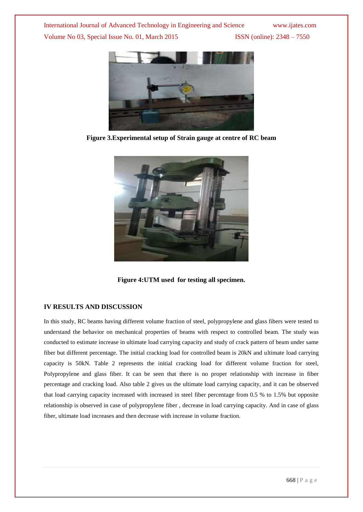

**Figure 3.Experimental setup of Strain gauge at centre of RC beam**



**Figure 4:UTM used for testing all specimen.**

#### **IV RESULTS AND DISCUSSION**

In this study, RC beams having different volume fraction of steel, polypropylene and glass fibers were tested to understand the behavior on mechanical properties of beams with respect to controlled beam. The study was conducted to estimate increase in ultimate load carrying capacity and study of crack pattern of beam under same fiber but different percentage. The initial cracking load for controlled beam is 20kN and ultimate load carrying capacity is 50kN. Table 2 represents the initial cracking load for different volume fraction for steel, Polypropylene and glass fiber. It can be seen that there is no proper relationship with increase in fiber percentage and cracking load. Also table 2 gives us the ultimate load carrying capacity, and it can be observed that load carrying capacity increased with increased in steel fiber percentage from 0.5 % to 1.5% but opposite relationship is observed in case of polypropylene fiber , decrease in load carrying capacity. And in case of glass fiber, ultimate load increases and then decrease with increase in volume fraction.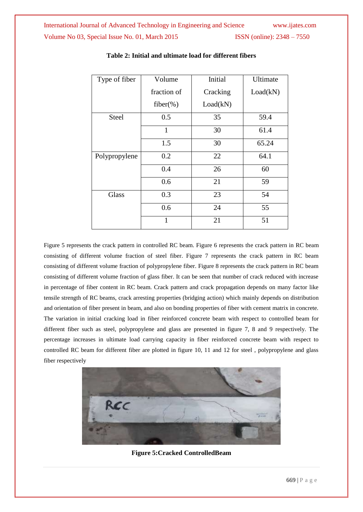| Type of fiber | Volume       | Initial  | Ultimate |
|---------------|--------------|----------|----------|
|               | fraction of  | Cracking | Load(kN) |
|               | $fiber(\% )$ | Load(kN) |          |
| <b>Steel</b>  | 0.5          | 35       | 59.4     |
|               | $\mathbf{1}$ | 30       | 61.4     |
|               | 1.5          | 30       | 65.24    |
| Polypropylene | 0.2          | 22       | 64.1     |
|               | 0.4          | 26       | 60       |
|               | 0.6          | 21       | 59       |
| Glass         | 0.3          | 23       | 54       |
|               | 0.6          | 24       | 55       |
|               | $\mathbf{1}$ | 21       | 51       |

#### **Table 2: Initial and ultimate load for different fibers**

Figure 5 represents the crack pattern in controlled RC beam. Figure 6 represents the crack pattern in RC beam consisting of different volume fraction of steel fiber. Figure 7 represents the crack pattern in RC beam consisting of different volume fraction of polypropylene fiber. Figure 8 represents the crack pattern in RC beam consisting of different volume fraction of glass fiber. It can be seen that number of crack reduced with increase in percentage of fiber content in RC beam. Crack pattern and crack propagation depends on many factor like tensile strength of RC beams, crack arresting properties (bridging action) which mainly depends on distribution and orientation of fiber present in beam, and also on bonding properties of fiber with cement matrix in concrete. The variation in initial cracking load in fiber reinforced concrete beam with respect to controlled beam for different fiber such as steel, polypropylene and glass are presented in figure 7, 8 and 9 respectively. The percentage increases in ultimate load carrying capacity in fiber reinforced concrete beam with respect to controlled RC beam for different fiber are plotted in figure 10, 11 and 12 for steel , polypropylene and glass fiber respectively



**Figure 5:Cracked ControlledBeam**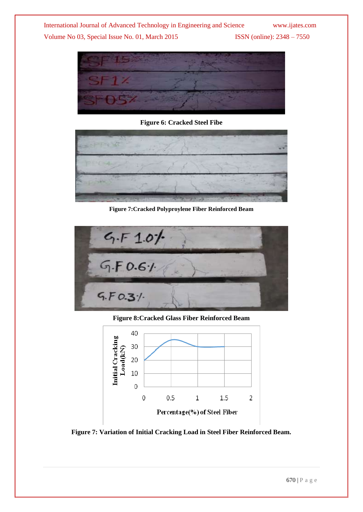

**Figure 6: Cracked Steel Fibe**



**Figure 7:Cracked Polyproylene Fiber Reinforced Beam**

| $4.5 + 1.0$ |  |
|-------------|--|
| G.F.0.61    |  |
| 5.50.31     |  |

**Figure 8:Cracked Glass Fiber Reinforced Beam**



**Figure 7: Variation of Initial Cracking Load in Steel Fiber Reinforced Beam.**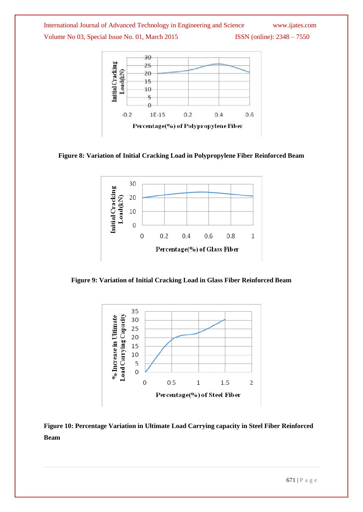

**Figure 8: Variation of Initial Cracking Load in Polypropylene Fiber Reinforced Beam**



**Figure 9: Variation of Initial Cracking Load in Glass Fiber Reinforced Beam**



**Figure 10: Percentage Variation in Ultimate Load Carrying capacity in Steel Fiber Reinforced Beam**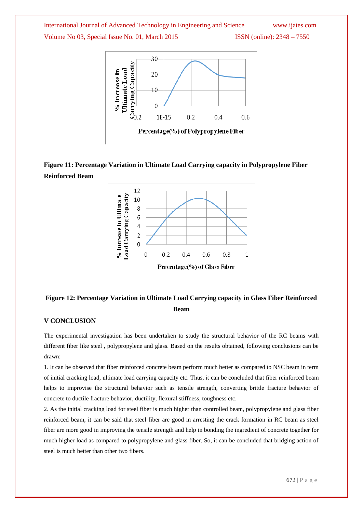

## **Figure 11: Percentage Variation in Ultimate Load Carrying capacity in Polypropylene Fiber Reinforced Beam**



## **Figure 12: Percentage Variation in Ultimate Load Carrying capacity in Glass Fiber Reinforced Beam**

#### **V CONCLUSION**

The experimental investigation has been undertaken to study the structural behavior of the RC beams with different fiber like steel , polypropylene and glass. Based on the results obtained, following conclusions can be drawn:

1. It can be observed that fiber reinforced concrete beam perform much better as compared to NSC beam in term of initial cracking load, ultimate load carrying capacity etc. Thus, it can be concluded that fiber reinforced beam helps to improvise the structural behavior such as tensile strength, converting brittle fracture behavior of concrete to ductile fracture behavior, ductility, flexural stiffness, toughness etc.

2. As the initial cracking load for steel fiber is much higher than controlled beam, polypropylene and glass fiber reinforced beam, it can be said that steel fiber are good in arresting the crack formation in RC beam as steel fiber are more good in improving the tensile strength and help in bonding the ingredient of concrete together for much higher load as compared to polypropylene and glass fiber. So, it can be concluded that bridging action of steel is much better than other two fibers.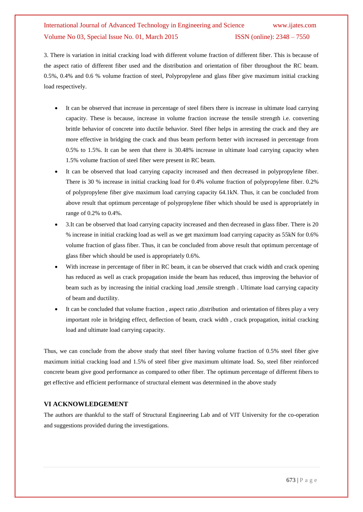3. There is variation in initial cracking load with different volume fraction of different fiber. This is because of the aspect ratio of different fiber used and the distribution and orientation of fiber throughout the RC beam. 0.5%, 0.4% and 0.6 % volume fraction of steel, Polypropylene and glass fiber give maximum initial cracking load respectively.

- It can be observed that increase in percentage of steel fibers there is increase in ultimate load carrying capacity. These is because, increase in volume fraction increase the tensile strength i.e. converting brittle behavior of concrete into ductile behavior. Steel fiber helps in arresting the crack and they are more effective in bridging the crack and thus beam perform better with increased in percentage from 0.5% to 1.5%. It can be seen that there is 30.48% increase in ultimate load carrying capacity when 1.5% volume fraction of steel fiber were present in RC beam.
- It can be observed that load carrying capacity increased and then decreased in polypropylene fiber. There is 30 % increase in initial cracking load for 0.4% volume fraction of polypropylene fiber. 0.2% of polypropylene fiber give maximum load carrying capacity 64.1kN. Thus, it can be concluded from above result that optimum percentage of polypropylene fiber which should be used is appropriately in range of 0.2% to 0.4%.
- 3.It can be observed that load carrying capacity increased and then decreased in glass fiber. There is 20 % increase in initial cracking load as well as we get maximum load carrying capacity as 55kN for 0.6% volume fraction of glass fiber. Thus, it can be concluded from above result that optimum percentage of glass fiber which should be used is appropriately 0.6%.
- With increase in percentage of fiber in RC beam, it can be observed that crack width and crack opening has reduced as well as crack propagation inside the beam has reduced, thus improving the behavior of beam such as by increasing the initial cracking load ,tensile strength . Ultimate load carrying capacity of beam and ductility.
- It can be concluded that volume fraction , aspect ratio ,distribution and orientation of fibres play a very important role in bridging effect, deflection of beam, crack width , crack propagation, initial cracking load and ultimate load carrying capacity.

Thus, we can conclude from the above study that steel fiber having volume fraction of 0.5% steel fiber give maximum initial cracking load and 1.5% of steel fiber give maximum ultimate load. So, steel fiber reinforced concrete beam give good performance as compared to other fiber. The optimum percentage of different fibers to get effective and efficient performance of structural element was determined in the above study

#### **VI ACKNOWLEDGEMENT**

The authors are thankful to the staff of Structural Engineering Lab and of VIT University for the co-operation and suggestions provided during the investigations.